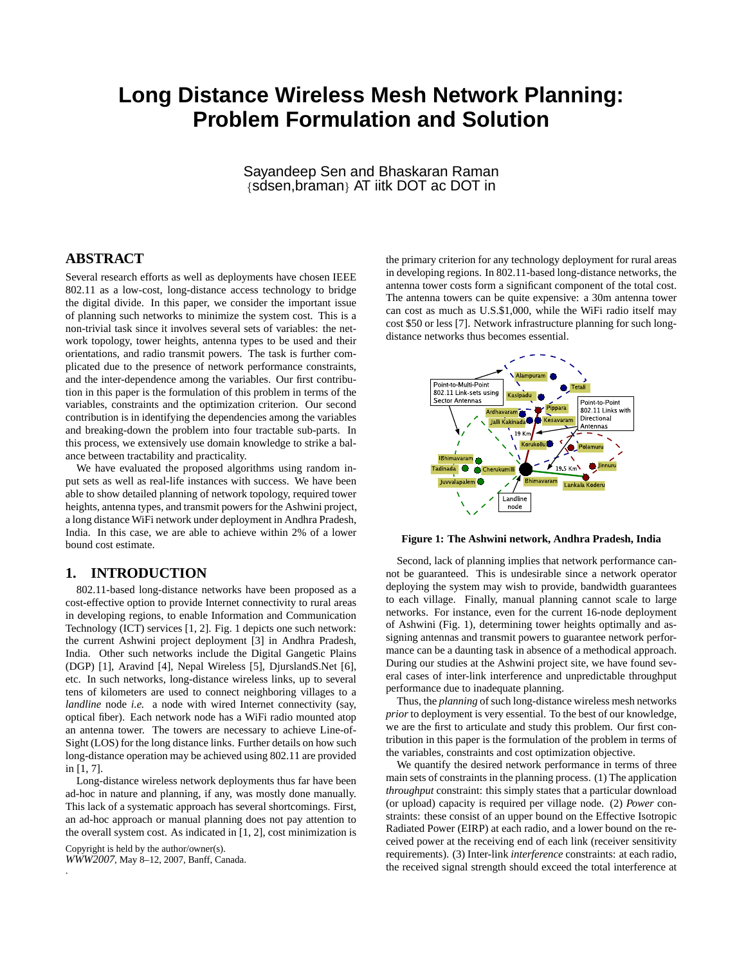# **Long Distance Wireless Mesh Network Planning: Problem Formulation and Solution**

Sayandeep Sen and Bhaskaran Raman {sdsen,braman} AT iitk DOT ac DOT in

# **ABSTRACT**

Several research efforts as well as deployments have chosen IEEE 802.11 as a low-cost, long-distance access technology to bridge the digital divide. In this paper, we consider the important issue of planning such networks to minimize the system cost. This is a non-trivial task since it involves several sets of variables: the network topology, tower heights, antenna types to be used and their orientations, and radio transmit powers. The task is further complicated due to the presence of network performance constraints, and the inter-dependence among the variables. Our first contribution in this paper is the formulation of this problem in terms of the variables, constraints and the optimization criterion. Our second contribution is in identifying the dependencies among the variables and breaking-down the problem into four tractable sub-parts. In this process, we extensively use domain knowledge to strike a balance between tractability and practicality.

We have evaluated the proposed algorithms using random input sets as well as real-life instances with success. We have been able to show detailed planning of network topology, required tower heights, antenna types, and transmit powers for the Ashwini project, a long distance WiFi network under deployment in Andhra Pradesh, India. In this case, we are able to achieve within 2% of a lower bound cost estimate.

# **1. INTRODUCTION**

802.11-based long-distance networks have been proposed as a cost-effective option to provide Internet connectivity to rural areas in developing regions, to enable Information and Communication Technology (ICT) services [1, 2]. Fig. 1 depicts one such network: the current Ashwini project deployment [3] in Andhra Pradesh, India. Other such networks include the Digital Gangetic Plains (DGP) [1], Aravind [4], Nepal Wireless [5], DjurslandS.Net [6], etc. In such networks, long-distance wireless links, up to several tens of kilometers are used to connect neighboring villages to a *landline* node *i.e.* a node with wired Internet connectivity (say, optical fiber). Each network node has a WiFi radio mounted atop an antenna tower. The towers are necessary to achieve Line-of-Sight (LOS) for the long distance links. Further details on how such long-distance operation may be achieved using 802.11 are provided in [1, 7].

Long-distance wireless network deployments thus far have been ad-hoc in nature and planning, if any, was mostly done manually. This lack of a systematic approach has several shortcomings. First, an ad-hoc approach or manual planning does not pay attention to the overall system cost. As indicated in [1, 2], cost minimization is

Copyright is held by the author/owner(s). *WWW2007*, May 8–12, 2007, Banff, Canada.

.

the primary criterion for any technology deployment for rural areas in developing regions. In 802.11-based long-distance networks, the antenna tower costs form a significant component of the total cost. The antenna towers can be quite expensive: a 30m antenna tower can cost as much as U.S.\$1,000, while the WiFi radio itself may cost \$50 or less [7]. Network infrastructure planning for such longdistance networks thus becomes essential.



**Figure 1: The Ashwini network, Andhra Pradesh, India**

Second, lack of planning implies that network performance cannot be guaranteed. This is undesirable since a network operator deploying the system may wish to provide, bandwidth guarantees to each village. Finally, manual planning cannot scale to large networks. For instance, even for the current 16-node deployment of Ashwini (Fig. 1), determining tower heights optimally and assigning antennas and transmit powers to guarantee network performance can be a daunting task in absence of a methodical approach. During our studies at the Ashwini project site, we have found several cases of inter-link interference and unpredictable throughput performance due to inadequate planning.

Thus, the *planning* of such long-distance wireless mesh networks *prior* to deployment is very essential. To the best of our knowledge, we are the first to articulate and study this problem. Our first contribution in this paper is the formulation of the problem in terms of the variables, constraints and cost optimization objective.

We quantify the desired network performance in terms of three main sets of constraints in the planning process. (1) The application *throughput* constraint: this simply states that a particular download (or upload) capacity is required per village node. (2) *Power* constraints: these consist of an upper bound on the Effective Isotropic Radiated Power (EIRP) at each radio, and a lower bound on the received power at the receiving end of each link (receiver sensitivity requirements). (3) Inter-link *interference* constraints: at each radio, the received signal strength should exceed the total interference at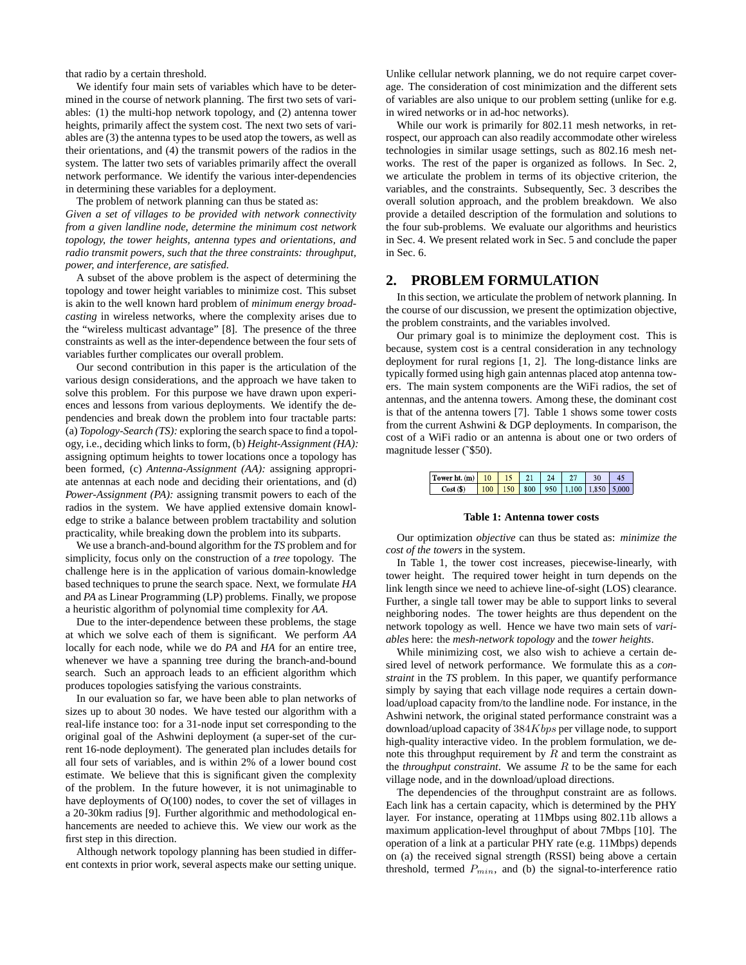that radio by a certain threshold.

We identify four main sets of variables which have to be determined in the course of network planning. The first two sets of variables: (1) the multi-hop network topology, and (2) antenna tower heights, primarily affect the system cost. The next two sets of variables are (3) the antenna types to be used atop the towers, as well as their orientations, and (4) the transmit powers of the radios in the system. The latter two sets of variables primarily affect the overall network performance. We identify the various inter-dependencies in determining these variables for a deployment.

The problem of network planning can thus be stated as: *Given a set of villages to be provided with network connectivity from a given landline node, determine the minimum cost network topology, the tower heights, antenna types and orientations, and radio transmit powers, such that the three constraints: throughput, power, and interference, are satisfied.*

A subset of the above problem is the aspect of determining the topology and tower height variables to minimize cost. This subset is akin to the well known hard problem of *minimum energy broadcasting* in wireless networks, where the complexity arises due to the "wireless multicast advantage" [8]. The presence of the three constraints as well as the inter-dependence between the four sets of variables further complicates our overall problem.

Our second contribution in this paper is the articulation of the various design considerations, and the approach we have taken to solve this problem. For this purpose we have drawn upon experiences and lessons from various deployments. We identify the dependencies and break down the problem into four tractable parts: (a) *Topology-Search (TS):* exploring the search space to find a topology, i.e., deciding which linksto form, (b) *Height-Assignment (HA):* assigning optimum heights to tower locations once a topology has been formed, (c) *Antenna-Assignment (AA):* assigning appropriate antennas at each node and deciding their orientations, and (d) *Power-Assignment (PA):* assigning transmit powers to each of the radios in the system. We have applied extensive domain knowledge to strike a balance between problem tractability and solution practicality, while breaking down the problem into its subparts.

We use a branch-and-bound algorithm for the *TS* problem and for simplicity, focus only on the construction of a *tree* topology. The challenge here is in the application of various domain-knowledge based techniques to prune the search space. Next, we formulate *HA* and *PA* as Linear Programming (LP) problems. Finally, we propose a heuristic algorithm of polynomial time complexity for *AA*.

Due to the inter-dependence between these problems, the stage at which we solve each of them is significant. We perform *AA* locally for each node, while we do *PA* and *HA* for an entire tree, whenever we have a spanning tree during the branch-and-bound search. Such an approach leads to an efficient algorithm which produces topologies satisfying the various constraints.

In our evaluation so far, we have been able to plan networks of sizes up to about 30 nodes. We have tested our algorithm with a real-life instance too: for a 31-node input set corresponding to the original goal of the Ashwini deployment (a super-set of the current 16-node deployment). The generated plan includes details for all four sets of variables, and is within 2% of a lower bound cost estimate. We believe that this is significant given the complexity of the problem. In the future however, it is not unimaginable to have deployments of O(100) nodes, to cover the set of villages in a 20-30km radius [9]. Further algorithmic and methodological enhancements are needed to achieve this. We view our work as the first step in this direction.

Although network topology planning has been studied in different contexts in prior work, several aspects make our setting unique. Unlike cellular network planning, we do not require carpet coverage. The consideration of cost minimization and the different sets of variables are also unique to our problem setting (unlike for e.g. in wired networks or in ad-hoc networks).

While our work is primarily for 802.11 mesh networks, in retrospect, our approach can also readily accommodate other wireless technologies in similar usage settings, such as 802.16 mesh networks. The rest of the paper is organized as follows. In Sec. 2, we articulate the problem in terms of its objective criterion, the variables, and the constraints. Subsequently, Sec. 3 describes the overall solution approach, and the problem breakdown. We also provide a detailed description of the formulation and solutions to the four sub-problems. We evaluate our algorithms and heuristics in Sec. 4. We present related work in Sec. 5 and conclude the paper in Sec. 6.

# **2. PROBLEM FORMULATION**

In this section, we articulate the problem of network planning. In the course of our discussion, we present the optimization objective, the problem constraints, and the variables involved.

Our primary goal is to minimize the deployment cost. This is because, system cost is a central consideration in any technology deployment for rural regions [1, 2]. The long-distance links are typically formed using high gain antennas placed atop antenna towers. The main system components are the WiFi radios, the set of antennas, and the antenna towers. Among these, the dominant cost is that of the antenna towers [7]. Table 1 shows some tower costs from the current Ashwini & DGP deployments. In comparison, the cost of a WiFi radio or an antenna is about one or two orders of magnitude lesser (˜\$50).

| Tower ht. $(m)$   10 |     |     |     |      |                         | 30 |  |
|----------------------|-----|-----|-----|------|-------------------------|----|--|
| Cost(S)              | 100 | 150 | 800 | .950 | $1,100$   1,850   5,000 |    |  |

#### **Table 1: Antenna tower costs**

Our optimization *objective* can thus be stated as: *minimize the cost of the towers* in the system.

In Table 1, the tower cost increases, piecewise-linearly, with tower height. The required tower height in turn depends on the link length since we need to achieve line-of-sight (LOS) clearance. Further, a single tall tower may be able to support links to several neighboring nodes. The tower heights are thus dependent on the network topology as well. Hence we have two main sets of *variables* here: the *mesh-network topology* and the *tower heights*.

While minimizing cost, we also wish to achieve a certain desired level of network performance. We formulate this as a *constraint* in the *TS* problem. In this paper, we quantify performance simply by saying that each village node requires a certain download/upload capacity from/to the landline node. For instance, in the Ashwini network, the original stated performance constraint was a download/upload capacity of 384Kbps per village node, to support high-quality interactive video. In the problem formulation, we denote this throughput requirement by  $R$  and term the constraint as the *throughput constraint*. We assume R to be the same for each village node, and in the download/upload directions.

The dependencies of the throughput constraint are as follows. Each link has a certain capacity, which is determined by the PHY layer. For instance, operating at 11Mbps using 802.11b allows a maximum application-level throughput of about 7Mbps [10]. The operation of a link at a particular PHY rate (e.g. 11Mbps) depends on (a) the received signal strength (RSSI) being above a certain threshold, termed  $P_{min}$ , and (b) the signal-to-interference ratio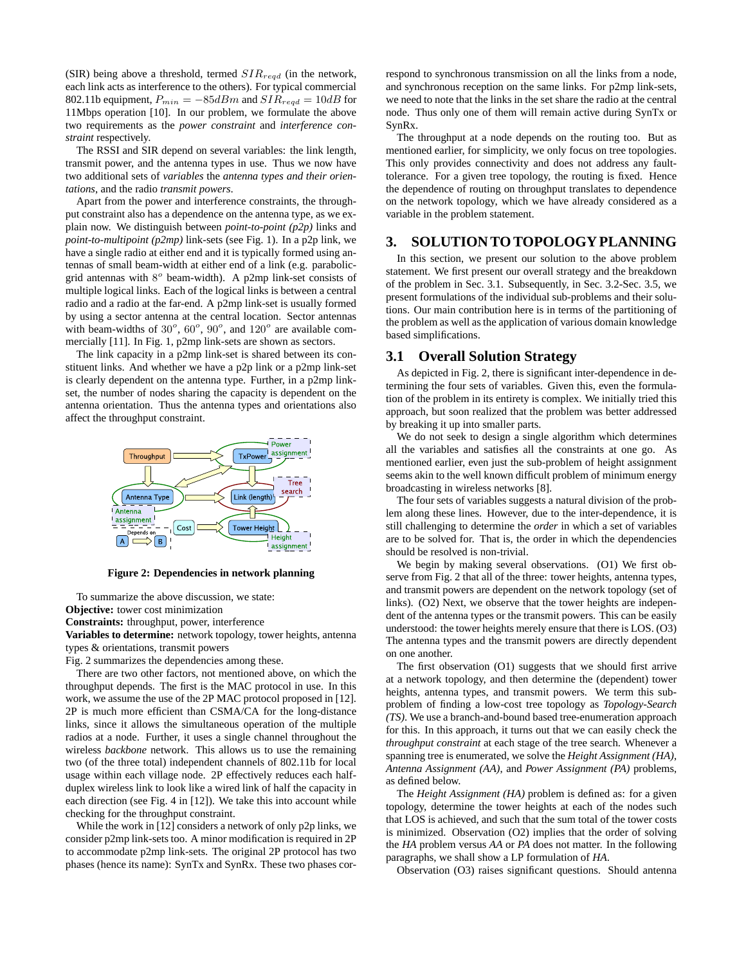(SIR) being above a threshold, termed  $SIR_{read}$  (in the network, each link acts as interference to the others). For typical commercial 802.11b equipment,  $P_{min} = -85dBm$  and  $SIR_{read} = 10dB$  for 11Mbps operation [10]. In our problem, we formulate the above two requirements as the *power constraint* and *interference constraint* respectively.

The RSSI and SIR depend on several variables: the link length, transmit power, and the antenna types in use. Thus we now have two additional sets of *variables* the *antenna types and their orientations*, and the radio *transmit powers*.

Apart from the power and interference constraints, the throughput constraint also has a dependence on the antenna type, as we explain now. We distinguish between *point-to-point (p2p)* links and *point-to-multipoint (p2mp)* link-sets (see Fig. 1). In a p2p link, we have a single radio at either end and it is typically formed using antennas of small beam-width at either end of a link (e.g. parabolicgrid antennas with  $8^{\circ}$  beam-width). A p2mp link-set consists of multiple logical links. Each of the logical links is between a central radio and a radio at the far-end. A p2mp link-set is usually formed by using a sector antenna at the central location. Sector antennas with beam-widths of  $30^{\circ}$ ,  $60^{\circ}$ ,  $90^{\circ}$ , and  $120^{\circ}$  are available commercially [11]. In Fig. 1, p2mp link-sets are shown as sectors.

The link capacity in a p2mp link-set is shared between its constituent links. And whether we have a p2p link or a p2mp link-set is clearly dependent on the antenna type. Further, in a p2mp linkset, the number of nodes sharing the capacity is dependent on the antenna orientation. Thus the antenna types and orientations also affect the throughput constraint.



**Figure 2: Dependencies in network planning**

To summarize the above discussion, we state: **Objective:** tower cost minimization **Constraints:** throughput, power, interference

**Variables to determine:** network topology, tower heights, antenna types & orientations, transmit powers

Fig. 2 summarizes the dependencies among these.

There are two other factors, not mentioned above, on which the throughput depends. The first is the MAC protocol in use. In this work, we assume the use of the 2P MAC protocol proposed in [12]. 2P is much more efficient than CSMA/CA for the long-distance links, since it allows the simultaneous operation of the multiple radios at a node. Further, it uses a single channel throughout the wireless *backbone* network. This allows us to use the remaining two (of the three total) independent channels of 802.11b for local usage within each village node. 2P effectively reduces each halfduplex wireless link to look like a wired link of half the capacity in each direction (see Fig. 4 in [12]). We take this into account while checking for the throughput constraint.

While the work in [12] considers a network of only p2p links, we consider p2mp link-sets too. A minor modification is required in 2P to accommodate p2mp link-sets. The original 2P protocol has two phases (hence its name): SynTx and SynRx. These two phases correspond to synchronous transmission on all the links from a node, and synchronous reception on the same links. For p2mp link-sets, we need to note that the links in the set share the radio at the central node. Thus only one of them will remain active during SynTx or SynRx.

The throughput at a node depends on the routing too. But as mentioned earlier, for simplicity, we only focus on tree topologies. This only provides connectivity and does not address any faulttolerance. For a given tree topology, the routing is fixed. Hence the dependence of routing on throughput translates to dependence on the network topology, which we have already considered as a variable in the problem statement.

# **3. SOLUTION TOTOPOLOGY PLANNING**

In this section, we present our solution to the above problem statement. We first present our overall strategy and the breakdown of the problem in Sec. 3.1. Subsequently, in Sec. 3.2-Sec. 3.5, we present formulations of the individual sub-problems and their solutions. Our main contribution here is in terms of the partitioning of the problem as well as the application of various domain knowledge based simplifications.

### **3.1 Overall Solution Strategy**

As depicted in Fig. 2, there is significant inter-dependence in determining the four sets of variables. Given this, even the formulation of the problem in its entirety is complex. We initially tried this approach, but soon realized that the problem was better addressed by breaking it up into smaller parts.

We do not seek to design a single algorithm which determines all the variables and satisfies all the constraints at one go. As mentioned earlier, even just the sub-problem of height assignment seems akin to the well known difficult problem of minimum energy broadcasting in wireless networks [8].

The four sets of variables suggests a natural division of the problem along these lines. However, due to the inter-dependence, it is still challenging to determine the *order* in which a set of variables are to be solved for. That is, the order in which the dependencies should be resolved is non-trivial.

We begin by making several observations. (O1) We first observe from Fig. 2 that all of the three: tower heights, antenna types, and transmit powers are dependent on the network topology (set of links). (O2) Next, we observe that the tower heights are independent of the antenna types or the transmit powers. This can be easily understood: the tower heights merely ensure that there is LOS. (O3) The antenna types and the transmit powers are directly dependent on one another.

The first observation (O1) suggests that we should first arrive at a network topology, and then determine the (dependent) tower heights, antenna types, and transmit powers. We term this subproblem of finding a low-cost tree topology as *Topology-Search (TS)*. We use a branch-and-bound based tree-enumeration approach for this. In this approach, it turns out that we can easily check the *throughput constraint* at each stage of the tree search. Whenever a spanning tree is enumerated, we solve the *Height Assignment (HA)*, *Antenna Assignment (AA)*, and *Power Assignment (PA)* problems, as defined below.

The *Height Assignment (HA)* problem is defined as: for a given topology, determine the tower heights at each of the nodes such that LOS is achieved, and such that the sum total of the tower costs is minimized. Observation (O2) implies that the order of solving the *HA* problem versus *AA* or *PA* does not matter. In the following paragraphs, we shall show a LP formulation of *HA*.

Observation (O3) raises significant questions. Should antenna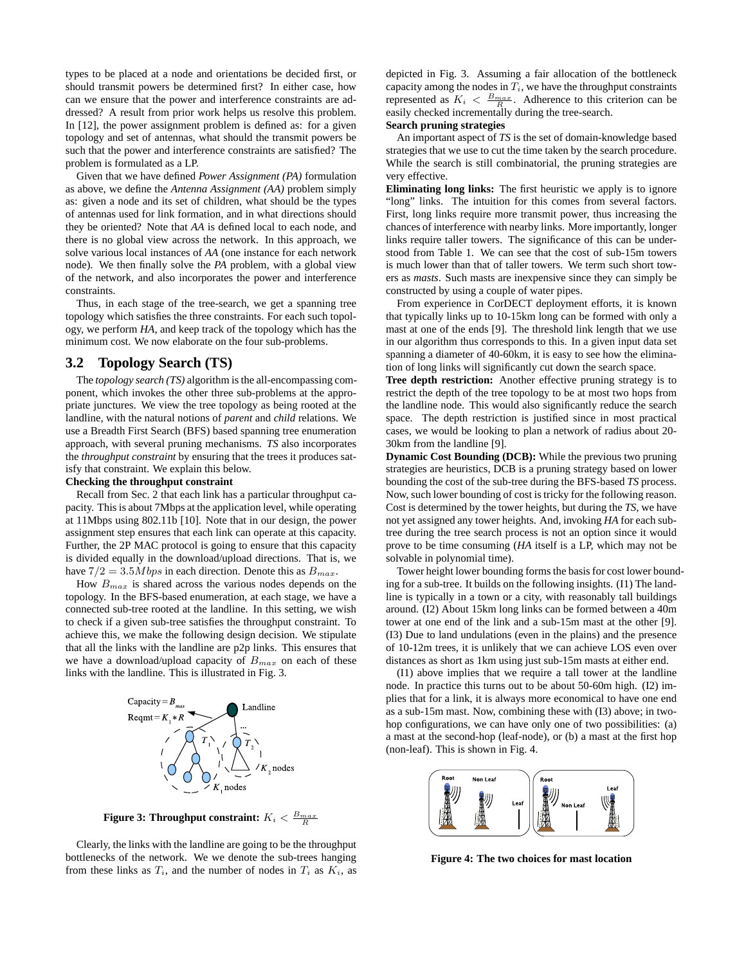types to be placed at a node and orientations be decided first, or should transmit powers be determined first? In either case, how can we ensure that the power and interference constraints are addressed? A result from prior work helps us resolve this problem. In [12], the power assignment problem is defined as: for a given topology and set of antennas, what should the transmit powers be such that the power and interference constraints are satisfied? The problem is formulated as a LP.

Given that we have defined *Power Assignment (PA)* formulation as above, we define the *Antenna Assignment (AA)* problem simply as: given a node and its set of children, what should be the types of antennas used for link formation, and in what directions should they be oriented? Note that *AA* is defined local to each node, and there is no global view across the network. In this approach, we solve various local instances of *AA* (one instance for each network node). We then finally solve the *PA* problem, with a global view of the network, and also incorporates the power and interference constraints.

Thus, in each stage of the tree-search, we get a spanning tree topology which satisfies the three constraints. For each such topology, we perform *HA*, and keep track of the topology which has the minimum cost. We now elaborate on the four sub-problems.

### **3.2 Topology Search (TS)**

The *topology* search *(TS)* algorithm is the all-encompassing component, which invokes the other three sub-problems at the appropriate junctures. We view the tree topology as being rooted at the landline, with the natural notions of *parent* and *child* relations. We use a Breadth First Search (BFS) based spanning tree enumeration approach, with several pruning mechanisms. *TS* also incorporates the *throughput constraint* by ensuring that the trees it produces satisfy that constraint. We explain this below.

#### **Checking the throughput constraint**

Recall from Sec. 2 that each link has a particular throughput capacity. This is about 7Mbps at the application level, while operating at 11Mbps using 802.11b [10]. Note that in our design, the power assignment step ensures that each link can operate at this capacity. Further, the 2P MAC protocol is going to ensure that this capacity is divided equally in the download/upload directions. That is, we have  $7/2 = 3.5Mbps$  in each direction. Denote this as  $B_{max}$ .

How  $B_{max}$  is shared across the various nodes depends on the topology. In the BFS-based enumeration, at each stage, we have a connected sub-tree rooted at the landline. In this setting, we wish to check if a given sub-tree satisfies the throughput constraint. To achieve this, we make the following design decision. We stipulate that all the links with the landline are p2p links. This ensures that we have a download/upload capacity of  $B_{max}$  on each of these links with the landline. This is illustrated in Fig. 3.



Figure 3: Throughput constraint:  $K_i < \frac{B_{max}}{R}$ 

Clearly, the links with the landline are going to be the throughput bottlenecks of the network. We we denote the sub-trees hanging from these links as  $T_i$ , and the number of nodes in  $T_i$  as  $K_i$ , as depicted in Fig. 3. Assuming a fair allocation of the bottleneck capacity among the nodes in  $T_i$ , we have the throughput constraints represented as  $K_i < \frac{B_{max}}{R}$ . Adherence to this criterion can be easily checked incrementally during the tree-search.

#### **Search pruning strategies**

An important aspect of *TS* is the set of domain-knowledge based strategies that we use to cut the time taken by the search procedure. While the search is still combinatorial, the pruning strategies are very effective.

**Eliminating long links:** The first heuristic we apply is to ignore "long" links. The intuition for this comes from several factors. First, long links require more transmit power, thus increasing the chances of interference with nearby links. More importantly, longer links require taller towers. The significance of this can be understood from Table 1. We can see that the cost of sub-15m towers is much lower than that of taller towers. We term such short towers as *masts*. Such masts are inexpensive since they can simply be constructed by using a couple of water pipes.

From experience in CorDECT deployment efforts, it is known that typically links up to 10-15km long can be formed with only a mast at one of the ends [9]. The threshold link length that we use in our algorithm thus corresponds to this. In a given input data set spanning a diameter of 40-60km, it is easy to see how the elimination of long links will significantly cut down the search space.

**Tree depth restriction:** Another effective pruning strategy is to restrict the depth of the tree topology to be at most two hops from the landline node. This would also significantly reduce the search space. The depth restriction is justified since in most practical cases, we would be looking to plan a network of radius about 20- 30km from the landline [9].

**Dynamic Cost Bounding (DCB):** While the previous two pruning strategies are heuristics, DCB is a pruning strategy based on lower bounding the cost of the sub-tree during the BFS-based *TS* process. Now, such lower bounding of cost is tricky for the following reason. Cost is determined by the tower heights, but during the *TS*, we have not yet assigned any tower heights. And, invoking *HA* for each subtree during the tree search process is not an option since it would prove to be time consuming (*HA* itself is a LP, which may not be solvable in polynomial time).

Tower height lower bounding forms the basis for cost lower bounding for a sub-tree. It builds on the following insights. (I1) The landline is typically in a town or a city, with reasonably tall buildings around. (I2) About 15km long links can be formed between a 40m tower at one end of the link and a sub-15m mast at the other [9]. (I3) Due to land undulations (even in the plains) and the presence of 10-12m trees, it is unlikely that we can achieve LOS even over distances as short as 1km using just sub-15m masts at either end.

(I1) above implies that we require a tall tower at the landline node. In practice this turns out to be about 50-60m high. (I2) implies that for a link, it is always more economical to have one end as a sub-15m mast. Now, combining these with (I3) above; in twohop configurations, we can have only one of two possibilities: (a) a mast at the second-hop (leaf-node), or (b) a mast at the first hop (non-leaf). This is shown in Fig. 4.



**Figure 4: The two choices for mast location**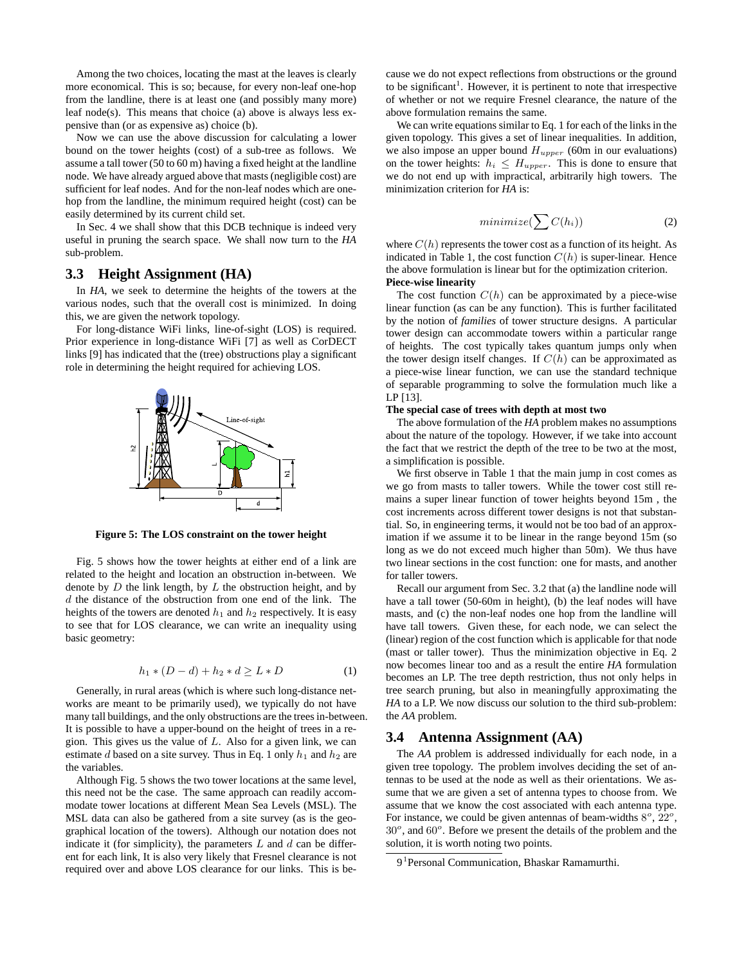Among the two choices, locating the mast at the leaves is clearly more economical. This is so; because, for every non-leaf one-hop from the landline, there is at least one (and possibly many more) leaf node(s). This means that choice (a) above is always less expensive than (or as expensive as) choice (b).

Now we can use the above discussion for calculating a lower bound on the tower heights (cost) of a sub-tree as follows. We assume a tall tower (50 to 60 m) having a fixed height at the landline node. We have already argued above that masts (negligible cost) are sufficient for leaf nodes. And for the non-leaf nodes which are onehop from the landline, the minimum required height (cost) can be easily determined by its current child set.

In Sec. 4 we shall show that this DCB technique is indeed very useful in pruning the search space. We shall now turn to the *HA* sub-problem.

### **3.3 Height Assignment (HA)**

In *HA*, we seek to determine the heights of the towers at the various nodes, such that the overall cost is minimized. In doing this, we are given the network topology.

For long-distance WiFi links, line-of-sight (LOS) is required. Prior experience in long-distance WiFi [7] as well as CorDECT links [9] has indicated that the (tree) obstructions play a significant role in determining the height required for achieving LOS.



**Figure 5: The LOS constraint on the tower height**

Fig. 5 shows how the tower heights at either end of a link are related to the height and location an obstruction in-between. We denote by  $D$  the link length, by  $L$  the obstruction height, and by  $d$  the distance of the obstruction from one end of the link. The heights of the towers are denoted  $h_1$  and  $h_2$  respectively. It is easy to see that for LOS clearance, we can write an inequality using basic geometry:

$$
h_1 * (D - d) + h_2 * d \ge L * D \tag{1}
$$

Generally, in rural areas (which is where such long-distance networks are meant to be primarily used), we typically do not have many tall buildings, and the only obstructions are the trees in-between. It is possible to have a upper-bound on the height of trees in a region. This gives us the value of  $L$ . Also for a given link, we can estimate d based on a site survey. Thus in Eq. 1 only  $h_1$  and  $h_2$  are the variables.

Although Fig. 5 shows the two tower locations at the same level, this need not be the case. The same approach can readily accommodate tower locations at different Mean Sea Levels (MSL). The MSL data can also be gathered from a site survey (as is the geographical location of the towers). Although our notation does not indicate it (for simplicity), the parameters  $L$  and  $d$  can be different for each link, It is also very likely that Fresnel clearance is not required over and above LOS clearance for our links. This is because we do not expect reflections from obstructions or the ground to be significant<sup>1</sup>. However, it is pertinent to note that irrespective of whether or not we require Fresnel clearance, the nature of the above formulation remains the same.

We can write equations similar to Eq. 1 for each of the links in the given topology. This gives a set of linear inequalities. In addition, we also impose an upper bound  $H_{upper}$  (60m in our evaluations) on the tower heights:  $h_i \n\t\leq H_{upper}$ . This is done to ensure that we do not end up with impractical, arbitrarily high towers. The minimization criterion for *HA* is:

$$
minimize(\sum C(h_i))
$$
 (2)

where  $C(h)$  represents the tower cost as a function of its height. As indicated in Table 1, the cost function  $C(h)$  is super-linear. Hence the above formulation is linear but for the optimization criterion. **Piece-wise linearity**

The cost function  $C(h)$  can be approximated by a piece-wise linear function (as can be any function). This is further facilitated by the notion of *families* of tower structure designs. A particular tower design can accommodate towers within a particular range of heights. The cost typically takes quantum jumps only when the tower design itself changes. If  $C(h)$  can be approximated as a piece-wise linear function, we can use the standard technique of separable programming to solve the formulation much like a LP [13].

#### **The special case of trees with depth at most two**

The above formulation of the *HA* problem makes no assumptions about the nature of the topology. However, if we take into account the fact that we restrict the depth of the tree to be two at the most, a simplification is possible.

We first observe in Table 1 that the main jump in cost comes as we go from masts to taller towers. While the tower cost still remains a super linear function of tower heights beyond 15m , the cost increments across different tower designs is not that substantial. So, in engineering terms, it would not be too bad of an approximation if we assume it to be linear in the range beyond 15m (so long as we do not exceed much higher than 50m). We thus have two linear sections in the cost function: one for masts, and another for taller towers.

Recall our argument from Sec. 3.2 that (a) the landline node will have a tall tower (50-60m in height), (b) the leaf nodes will have masts, and (c) the non-leaf nodes one hop from the landline will have tall towers. Given these, for each node, we can select the (linear) region of the cost function which is applicable for that node (mast or taller tower). Thus the minimization objective in Eq. 2 now becomes linear too and as a result the entire *HA* formulation becomes an LP. The tree depth restriction, thus not only helps in tree search pruning, but also in meaningfully approximating the *HA* to a LP. We now discuss our solution to the third sub-problem: the *AA* problem.

### **3.4 Antenna Assignment (AA)**

The *AA* problem is addressed individually for each node, in a given tree topology. The problem involves deciding the set of antennas to be used at the node as well as their orientations. We assume that we are given a set of antenna types to choose from. We assume that we know the cost associated with each antenna type. For instance, we could be given antennas of beam-widths  $8^\circ$ ,  $22^\circ$ , 30<sup>o</sup>, and 60<sup>o</sup>. Before we present the details of the problem and the solution, it is worth noting two points.

<sup>9</sup> 1 Personal Communication, Bhaskar Ramamurthi.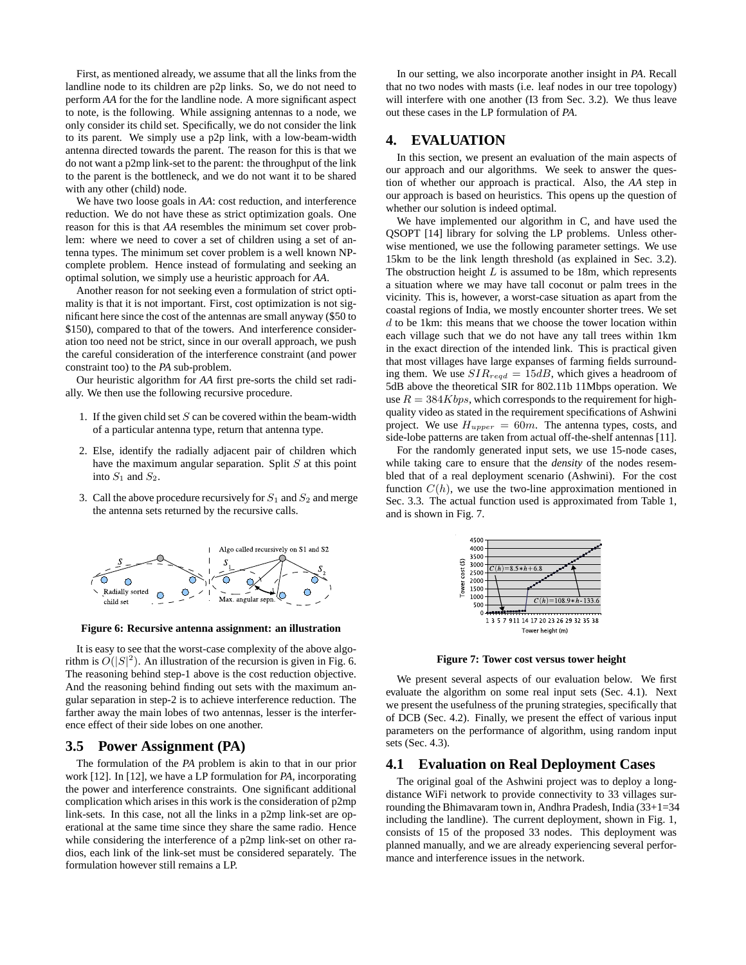First, as mentioned already, we assume that all the links from the landline node to its children are p2p links. So, we do not need to perform *AA* for the for the landline node. A more significant aspect to note, is the following. While assigning antennas to a node, we only consider its child set. Specifically, we do not consider the link to its parent. We simply use a p2p link, with a low-beam-width antenna directed towards the parent. The reason for this is that we do not want a p2mp link-set to the parent: the throughput of the link to the parent is the bottleneck, and we do not want it to be shared with any other (child) node.

We have two loose goals in *AA*: cost reduction, and interference reduction. We do not have these as strict optimization goals. One reason for this is that *AA* resembles the minimum set cover problem: where we need to cover a set of children using a set of antenna types. The minimum set cover problem is a well known NPcomplete problem. Hence instead of formulating and seeking an optimal solution, we simply use a heuristic approach for *AA*.

Another reason for not seeking even a formulation of strict optimality is that it is not important. First, cost optimization is not significant here since the cost of the antennas are small anyway (\$50 to \$150), compared to that of the towers. And interference consideration too need not be strict, since in our overall approach, we push the careful consideration of the interference constraint (and power constraint too) to the *PA* sub-problem.

Our heuristic algorithm for *AA* first pre-sorts the child set radially. We then use the following recursive procedure.

- 1. If the given child set  $S$  can be covered within the beam-width of a particular antenna type, return that antenna type.
- 2. Else, identify the radially adjacent pair of children which have the maximum angular separation. Split  $S$  at this point into  $S_1$  and  $S_2$ .
- 3. Call the above procedure recursively for  $S_1$  and  $S_2$  and merge the antenna sets returned by the recursive calls.



**Figure 6: Recursive antenna assignment: an illustration**

It is easy to see that the worst-case complexity of the above algorithm is  $O(|S|^2)$ . An illustration of the recursion is given in Fig. 6. The reasoning behind step-1 above is the cost reduction objective. And the reasoning behind finding out sets with the maximum angular separation in step-2 is to achieve interference reduction. The farther away the main lobes of two antennas, lesser is the interference effect of their side lobes on one another.

### **3.5 Power Assignment (PA)**

The formulation of the *PA* problem is akin to that in our prior work [12]. In [12], we have a LP formulation for *PA*, incorporating the power and interference constraints. One significant additional complication which arises in this work is the consideration of p2mp link-sets. In this case, not all the links in a p2mp link-set are operational at the same time since they share the same radio. Hence while considering the interference of a p2mp link-set on other radios, each link of the link-set must be considered separately. The formulation however still remains a LP.

In our setting, we also incorporate another insight in *PA*. Recall that no two nodes with masts (i.e. leaf nodes in our tree topology) will interfere with one another (I3 from Sec. 3.2). We thus leave out these cases in the LP formulation of *PA*.

# **4. EVALUATION**

In this section, we present an evaluation of the main aspects of our approach and our algorithms. We seek to answer the question of whether our approach is practical. Also, the *AA* step in our approach is based on heuristics. This opens up the question of whether our solution is indeed optimal.

We have implemented our algorithm in C, and have used the QSOPT [14] library for solving the LP problems. Unless otherwise mentioned, we use the following parameter settings. We use 15km to be the link length threshold (as explained in Sec. 3.2). The obstruction height  $L$  is assumed to be 18m, which represents a situation where we may have tall coconut or palm trees in the vicinity. This is, however, a worst-case situation as apart from the coastal regions of India, we mostly encounter shorter trees. We set  $d$  to be 1km: this means that we choose the tower location within each village such that we do not have any tall trees within 1km in the exact direction of the intended link. This is practical given that most villages have large expanses of farming fields surrounding them. We use  $SIR_{req} = 15dB$ , which gives a headroom of 5dB above the theoretical SIR for 802.11b 11Mbps operation. We use  $R = 384Kbps$ , which corresponds to the requirement for highquality video as stated in the requirement specifications of Ashwini project. We use  $H_{upper} = 60m$ . The antenna types, costs, and side-lobe patterns are taken from actual off-the-shelf antennas [11].

For the randomly generated input sets, we use 15-node cases, while taking care to ensure that the *density* of the nodes resembled that of a real deployment scenario (Ashwini). For the cost function  $C(h)$ , we use the two-line approximation mentioned in Sec. 3.3. The actual function used is approximated from Table 1, and is shown in Fig. 7.



**Figure 7: Tower cost versus tower height**

We present several aspects of our evaluation below. We first evaluate the algorithm on some real input sets (Sec. 4.1). Next we present the usefulness of the pruning strategies, specifically that of DCB (Sec. 4.2). Finally, we present the effect of various input parameters on the performance of algorithm, using random input sets (Sec. 4.3).

### **4.1 Evaluation on Real Deployment Cases**

The original goal of the Ashwini project was to deploy a longdistance WiFi network to provide connectivity to 33 villages surrounding the Bhimavaram town in, Andhra Pradesh, India (33+1=34 including the landline). The current deployment, shown in Fig. 1, consists of 15 of the proposed 33 nodes. This deployment was planned manually, and we are already experiencing several performance and interference issues in the network.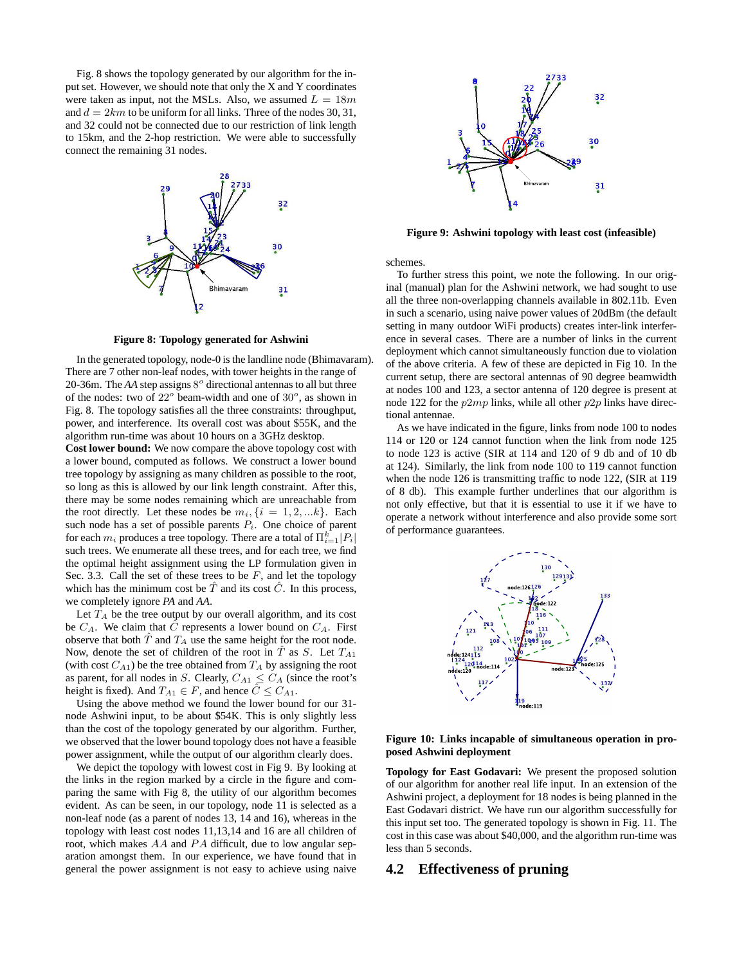Fig. 8 shows the topology generated by our algorithm for the input set. However, we should note that only the X and Y coordinates were taken as input, not the MSLs. Also, we assumed  $L = 18m$ and  $d = 2km$  to be uniform for all links. Three of the nodes 30, 31, and 32 could not be connected due to our restriction of link length to 15km, and the 2-hop restriction. We were able to successfully connect the remaining 31 nodes.



**Figure 8: Topology generated for Ashwini**

In the generated topology, node-0 isthe landline node (Bhimavaram). There are 7 other non-leaf nodes, with tower heights in the range of 20-36m. The AA step assigns 8° directional antennas to all but three of the nodes: two of  $22^{\circ}$  beam-width and one of  $30^{\circ}$ , as shown in Fig. 8. The topology satisfies all the three constraints: throughput, power, and interference. Its overall cost was about \$55K, and the algorithm run-time was about 10 hours on a 3GHz desktop.

**Cost lower bound:** We now compare the above topology cost with a lower bound, computed as follows. We construct a lower bound tree topology by assigning as many children as possible to the root, so long as this is allowed by our link length constraint. After this, there may be some nodes remaining which are unreachable from the root directly. Let these nodes be  $m_i$ ,  $\{i = 1, 2, ...k\}$ . Each such node has a set of possible parents  $P_i$ . One choice of parent for each  $m_i$  produces a tree topology. There are a total of  $\Pi_{i=1}^k |P_i|$ such trees. We enumerate all these trees, and for each tree, we find the optimal height assignment using the LP formulation given in Sec. 3.3. Call the set of these trees to be  $F$ , and let the topology which has the minimum cost be  $\hat{T}$  and its cost  $\hat{C}$ . In this process, we completely ignore *PA* and *AA*.

Let  $T_A$  be the tree output by our overall algorithm, and its cost be  $C_A$ . We claim that  $\ddot{C}$  represents a lower bound on  $C_A$ . First observe that both  $\ddot{T}$  and  $T_A$  use the same height for the root node. Now, denote the set of children of the root in  $\ddot{T}$  as  $S$ . Let  $T_{A1}$ (with cost  $C_{A1}$ ) be the tree obtained from  $T_A$  by assigning the root as parent, for all nodes in S. Clearly,  $C_{A1} \leq C_A$  (since the root's height is fixed). And  $T_{A1} \in F$ , and hence  $\hat{C} \leq C_{A1}$ .

Using the above method we found the lower bound for our 31 node Ashwini input, to be about \$54K. This is only slightly less than the cost of the topology generated by our algorithm. Further, we observed that the lower bound topology does not have a feasible power assignment, while the output of our algorithm clearly does.

We depict the topology with lowest cost in Fig 9. By looking at the links in the region marked by a circle in the figure and comparing the same with Fig 8, the utility of our algorithm becomes evident. As can be seen, in our topology, node 11 is selected as a non-leaf node (as a parent of nodes 13, 14 and 16), whereas in the topology with least cost nodes 11,13,14 and 16 are all children of root, which makes AA and PA difficult, due to low angular separation amongst them. In our experience, we have found that in general the power assignment is not easy to achieve using naive



**Figure 9: Ashwini topology with least cost (infeasible)**

schemes.

To further stress this point, we note the following. In our original (manual) plan for the Ashwini network, we had sought to use all the three non-overlapping channels available in 802.11b. Even in such a scenario, using naive power values of 20dBm (the default setting in many outdoor WiFi products) creates inter-link interference in several cases. There are a number of links in the current deployment which cannot simultaneously function due to violation of the above criteria. A few of these are depicted in Fig 10. In the current setup, there are sectoral antennas of 90 degree beamwidth at nodes 100 and 123, a sector antenna of 120 degree is present at node 122 for the  $p2mp$  links, while all other  $p2p$  links have directional antennae.

As we have indicated in the figure, links from node 100 to nodes 114 or 120 or 124 cannot function when the link from node 125 to node 123 is active (SIR at 114 and 120 of 9 db and of 10 db at 124). Similarly, the link from node 100 to 119 cannot function when the node 126 is transmitting traffic to node 122, (SIR at 119 of 8 db). This example further underlines that our algorithm is not only effective, but that it is essential to use it if we have to operate a network without interference and also provide some sort of performance guarantees.



**Figure 10: Links incapable of simultaneous operation in proposed Ashwini deployment**

**Topology for East Godavari:** We present the proposed solution of our algorithm for another real life input. In an extension of the Ashwini project, a deployment for 18 nodes is being planned in the East Godavari district. We have run our algorithm successfully for this input set too. The generated topology is shown in Fig. 11. The cost in this case was about \$40,000, and the algorithm run-time was less than 5 seconds.

### **4.2 Effectiveness of pruning**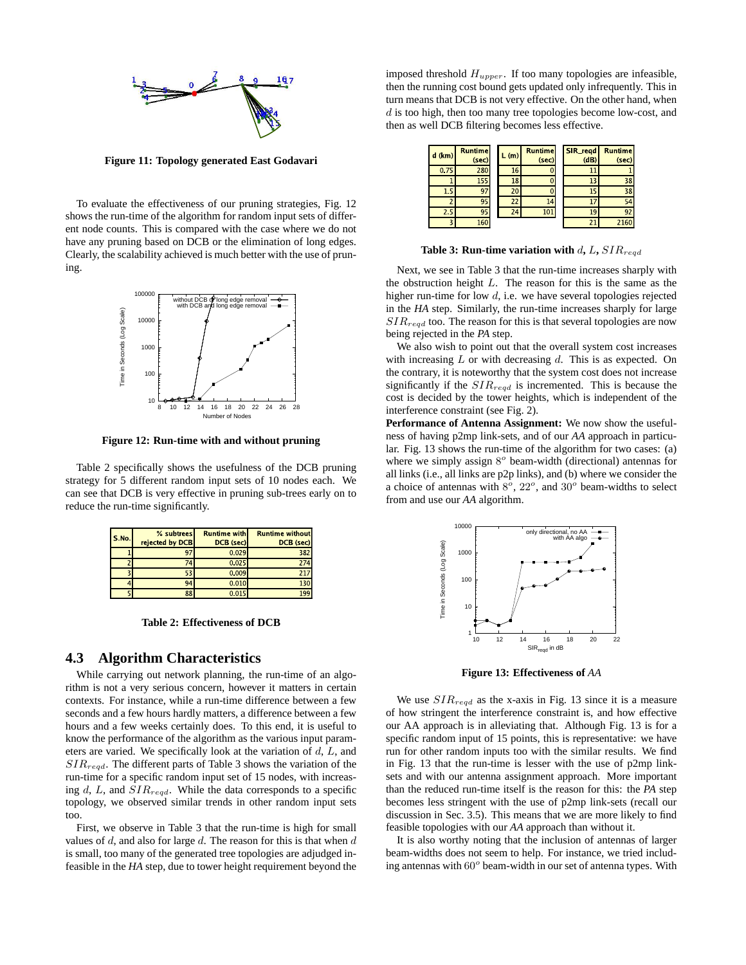

**Figure 11: Topology generated East Godavari**

To evaluate the effectiveness of our pruning strategies, Fig. 12 shows the run-time of the algorithm for random input sets of different node counts. This is compared with the case where we do not have any pruning based on DCB or the elimination of long edges. Clearly, the scalability achieved is much better with the use of pruning.



**Figure 12: Run-time with and without pruning**

Table 2 specifically shows the usefulness of the DCB pruning strategy for 5 different random input sets of 10 nodes each. We can see that DCB is very effective in pruning sub-trees early on to reduce the run-time significantly.

| S No. | % subtrees<br>rejected by DCB | <b>Runtime with</b><br>DCB (sec) | <b>Runtime without</b><br>DCB (sec) |
|-------|-------------------------------|----------------------------------|-------------------------------------|
|       |                               | 0.029                            | 382                                 |
|       | 74                            | 0.025                            | 274                                 |
|       | 53                            | 0.009                            | 217                                 |
|       | 94                            | 0.010                            | 130                                 |
|       |                               |                                  |                                     |

**Table 2: Effectiveness of DCB**

### **4.3 Algorithm Characteristics**

While carrying out network planning, the run-time of an algorithm is not a very serious concern, however it matters in certain contexts. For instance, while a run-time difference between a few seconds and a few hours hardly matters, a difference between a few hours and a few weeks certainly does. To this end, it is useful to know the performance of the algorithm as the various input parameters are varied. We specifically look at the variation of  $d$ ,  $L$ , and  $SIR_{req}$ . The different parts of Table 3 shows the variation of the run-time for a specific random input set of 15 nodes, with increasing  $d$ ,  $L$ , and  $SIR_{req}$ . While the data corresponds to a specific topology, we observed similar trends in other random input sets too.

First, we observe in Table 3 that the run-time is high for small values of  $d$ , and also for large  $d$ . The reason for this is that when  $d$ is small, too many of the generated tree topologies are adjudged infeasible in the *HA* step, due to tower height requirement beyond the

imposed threshold  $H_{upper}$ . If too many topologies are infeasible, then the running cost bound gets updated only infrequently. This in turn means that DCB is not very effective. On the other hand, when  $d$  is too high, then too many tree topologies become low-cost, and then as well DCB filtering becomes less effective.

| <b>Runtime</b><br>(sec) | L(m) | <b>Runtime</b><br>(sec) |  | <b>SIR</b> regd<br>(dB) | <b>Runtime</b><br>(sec) |
|-------------------------|------|-------------------------|--|-------------------------|-------------------------|
| 280                     | 16   |                         |  |                         |                         |
| 155                     | 18   |                         |  | 13                      | 38                      |
| 97                      | 20   |                         |  | 15                      | 38                      |
| 95                      | 22   | 14                      |  | 17                      | 54                      |
| 95                      | 24   | 101                     |  | 19                      | 92                      |
| 160                     |      |                         |  | 21                      | 2160                    |
|                         |      |                         |  |                         |                         |

**Table 3: Run-time variation with**  $d$ ,  $L$ ,  $SIR_{read}$ 

Next, we see in Table 3 that the run-time increases sharply with the obstruction height  $L$ . The reason for this is the same as the higher run-time for low  $d$ , i.e. we have several topologies rejected in the *HA* step. Similarly, the run-time increases sharply for large  $SIR_{req}$  too. The reason for this is that several topologies are now being rejected in the *PA* step.

We also wish to point out that the overall system cost increases with increasing  $L$  or with decreasing  $d$ . This is as expected. On the contrary, it is noteworthy that the system cost does not increase significantly if the  $SIR_{read}$  is incremented. This is because the cost is decided by the tower heights, which is independent of the interference constraint (see Fig. 2).

**Performance of Antenna Assignment:** We now show the usefulness of having p2mp link-sets, and of our *AA* approach in particular. Fig. 13 shows the run-time of the algorithm for two cases: (a) where we simply assign 8° beam-width (directional) antennas for all links (i.e., all links are p2p links), and (b) where we consider the a choice of antennas with  $8^\circ$ ,  $22^\circ$ , and  $30^\circ$  beam-widths to select from and use our *AA* algorithm.



**Figure 13: Effectiveness of** *AA*

We use  $SIR_{read}$  as the x-axis in Fig. 13 since it is a measure of how stringent the interference constraint is, and how effective our AA approach is in alleviating that. Although Fig. 13 is for a specific random input of 15 points, this is representative: we have run for other random inputs too with the similar results. We find in Fig. 13 that the run-time is lesser with the use of p2mp linksets and with our antenna assignment approach. More important than the reduced run-time itself is the reason for this: the *PA* step becomes less stringent with the use of p2mp link-sets (recall our discussion in Sec. 3.5). This means that we are more likely to find feasible topologies with our *AA* approach than without it.

It is also worthy noting that the inclusion of antennas of larger beam-widths does not seem to help. For instance, we tried including antennas with  $60^{\circ}$  beam-width in our set of antenna types. With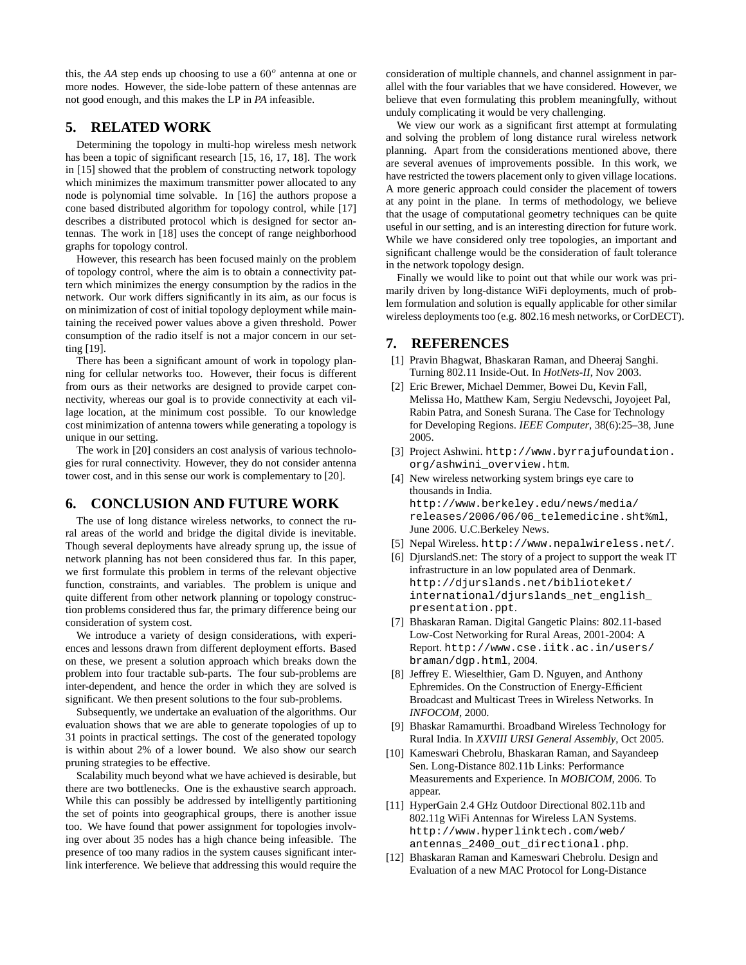this, the  $AA$  step ends up choosing to use a  $60^\circ$  antenna at one or more nodes. However, the side-lobe pattern of these antennas are not good enough, and this makes the LP in *PA* infeasible.

# **5. RELATED WORK**

Determining the topology in multi-hop wireless mesh network has been a topic of significant research [15, 16, 17, 18]. The work in [15] showed that the problem of constructing network topology which minimizes the maximum transmitter power allocated to any node is polynomial time solvable. In [16] the authors propose a cone based distributed algorithm for topology control, while [17] describes a distributed protocol which is designed for sector antennas. The work in [18] uses the concept of range neighborhood graphs for topology control.

However, this research has been focused mainly on the problem of topology control, where the aim is to obtain a connectivity pattern which minimizes the energy consumption by the radios in the network. Our work differs significantly in its aim, as our focus is on minimization of cost of initial topology deployment while maintaining the received power values above a given threshold. Power consumption of the radio itself is not a major concern in our setting [19].

There has been a significant amount of work in topology planning for cellular networks too. However, their focus is different from ours as their networks are designed to provide carpet connectivity, whereas our goal is to provide connectivity at each village location, at the minimum cost possible. To our knowledge cost minimization of antenna towers while generating a topology is unique in our setting.

The work in [20] considers an cost analysis of various technologies for rural connectivity. However, they do not consider antenna tower cost, and in this sense our work is complementary to [20].

# **6. CONCLUSION AND FUTURE WORK**

The use of long distance wireless networks, to connect the rural areas of the world and bridge the digital divide is inevitable. Though several deployments have already sprung up, the issue of network planning has not been considered thus far. In this paper, we first formulate this problem in terms of the relevant objective function, constraints, and variables. The problem is unique and quite different from other network planning or topology construction problems considered thus far, the primary difference being our consideration of system cost.

We introduce a variety of design considerations, with experiences and lessons drawn from different deployment efforts. Based on these, we present a solution approach which breaks down the problem into four tractable sub-parts. The four sub-problems are inter-dependent, and hence the order in which they are solved is significant. We then present solutions to the four sub-problems.

Subsequently, we undertake an evaluation of the algorithms. Our evaluation shows that we are able to generate topologies of up to 31 points in practical settings. The cost of the generated topology is within about 2% of a lower bound. We also show our search pruning strategies to be effective.

Scalability much beyond what we have achieved is desirable, but there are two bottlenecks. One is the exhaustive search approach. While this can possibly be addressed by intelligently partitioning the set of points into geographical groups, there is another issue too. We have found that power assignment for topologies involving over about 35 nodes has a high chance being infeasible. The presence of too many radios in the system causes significant interlink interference. We believe that addressing this would require the

consideration of multiple channels, and channel assignment in parallel with the four variables that we have considered. However, we believe that even formulating this problem meaningfully, without unduly complicating it would be very challenging.

We view our work as a significant first attempt at formulating and solving the problem of long distance rural wireless network planning. Apart from the considerations mentioned above, there are several avenues of improvements possible. In this work, we have restricted the towers placement only to given village locations. A more generic approach could consider the placement of towers at any point in the plane. In terms of methodology, we believe that the usage of computational geometry techniques can be quite useful in our setting, and is an interesting direction for future work. While we have considered only tree topologies, an important and significant challenge would be the consideration of fault tolerance in the network topology design.

Finally we would like to point out that while our work was primarily driven by long-distance WiFi deployments, much of problem formulation and solution is equally applicable for other similar wireless deployments too (e.g. 802.16 mesh networks, or CorDECT).

### **7. REFERENCES**

- Pravin Bhagwat, Bhaskaran Raman, and Dheeraj Sanghi. Turning 802.11 Inside-Out. In *HotNets-II*, Nov 2003.
- [2] Eric Brewer, Michael Demmer, Bowei Du, Kevin Fall, Melissa Ho, Matthew Kam, Sergiu Nedevschi, Joyojeet Pal, Rabin Patra, and Sonesh Surana. The Case for Technology for Developing Regions. *IEEE Computer*, 38(6):25–38, June 2005.
- [3] Project Ashwini. http://www.byrrajufoundation. org/ashwini\_overview.htm.
- [4] New wireless networking system brings eye care to thousands in India. http://www.berkeley.edu/news/media/ releases/2006/06/06\_telemedicine.sht%ml, June 2006. U.C.Berkeley News.
- [5] Nepal Wireless. http://www.nepalwireless.net/.
- [6] DjurslandS.net: The story of a project to support the weak IT infrastructure in an low populated area of Denmark. http://djurslands.net/biblioteket/ international/djurslands\_net\_english\_ presentation.ppt.
- [7] Bhaskaran Raman. Digital Gangetic Plains: 802.11-based Low-Cost Networking for Rural Areas, 2001-2004: A Report. http://www.cse.iitk.ac.in/users/ braman/dgp.html, 2004.
- [8] Jeffrey E. Wieselthier, Gam D. Nguyen, and Anthony Ephremides. On the Construction of Energy-Efficient Broadcast and Multicast Trees in Wireless Networks. In *INFOCOM*, 2000.
- [9] Bhaskar Ramamurthi. Broadband Wireless Technology for Rural India. In *XXVIII URSI General Assembly*, Oct 2005.
- [10] Kameswari Chebrolu, Bhaskaran Raman, and Savandeep Sen. Long-Distance 802.11b Links: Performance Measurements and Experience. In *MOBICOM*, 2006. To appear.
- [11] HyperGain 2.4 GHz Outdoor Directional 802.11b and 802.11g WiFi Antennas for Wireless LAN Systems. http://www.hyperlinktech.com/web/ antennas\_2400\_out\_directional.php.
- [12] Bhaskaran Raman and Kameswari Chebrolu. Design and Evaluation of a new MAC Protocol for Long-Distance